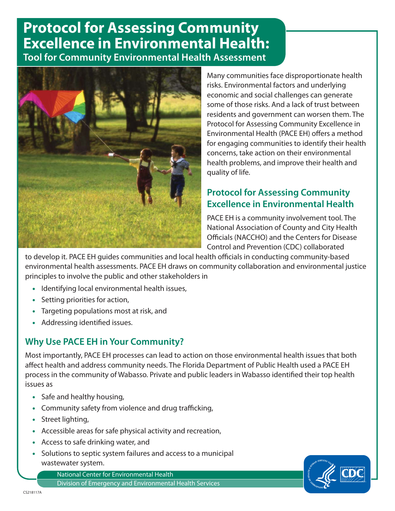## **Protocol for Assessing Community Excellence in Environmental Health: Tool for Community Environmental Health Assessment**



Many communities face disproportionate health risks. Environmental factors and underlying economic and social challenges can generate some of those risks. And a lack of trust between residents and government can worsen them. The Protocol for Assessing Community Excellence in Environmental Health (PACE EH) offers a method for engaging communities to identify their health concerns, take action on their environmental health problems, and improve their health and quality of life.

## **Protocol for Assessing Community Excellence in Environmental Health**

PACE EH is a community involvement tool. The National Association of County and City Health Officials (NACCHO) and the Centers for Disease Control and Prevention (CDC) collaborated

to develop it. PACE EH guides communities and local health officials in conducting community-based environmental health assessments. PACE EH draws on community collaboration and environmental justice principles to involve the public and other stakeholders in

- Identifying local environmental health issues,
- Setting priorities for action,
- Targeting populations most at risk, and
- Addressing identified issues.

## **Why Use PACE EH in Your Community?**

Most importantly, PACE EH processes can lead to action on those environmental health issues that both affect health and address community needs. The Florida Department of Public Health used a PACE EH process in the community of Wabasso. Private and public leaders in Wabasso identified their top health issues as

- Safe and healthy housing,
- Community safety from violence and drug trafficking,
- Street lighting,
- Accessible areas for safe physical activity and recreation,
- Access to safe drinking water, and
- wastewater system. • Solutions to septic system failures and access to a municipal

National Center for Environmental Health Division of Emergency and Environmental Health Services